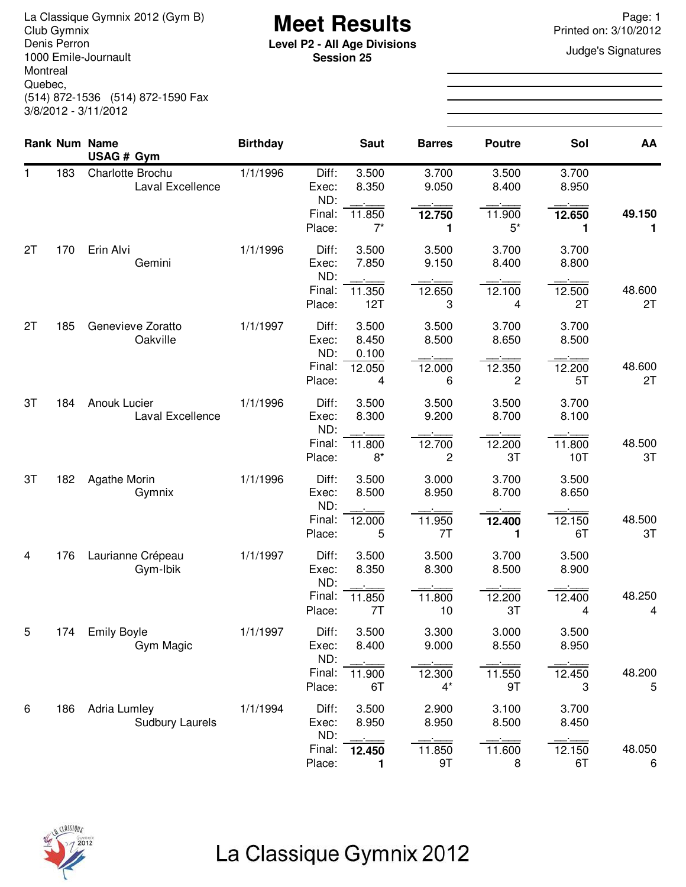**Meet Results** La Classique Gymnix 2012 (Gym B) Page: 1 Denis Perron 1000 Emile-Journault Montreal Quebec, (514) 872-1536 (514) 872-1590 Fax 3/8/2012 - 3/11/2012

**Level P2 - All Age Divisions**<br> **Level P2 - All Age Divisions**<br> **Session 25 Session 25**

Printed on: 3/10/2012

|    |     | <b>Rank Num Name</b>                          | <b>Birthday</b> |                         | <b>Saut</b>             | <b>Barres</b>            | <b>Poutre</b>   | Sol            | AA           |
|----|-----|-----------------------------------------------|-----------------|-------------------------|-------------------------|--------------------------|-----------------|----------------|--------------|
|    |     | USAG # Gym                                    |                 |                         |                         |                          |                 |                |              |
| 1. | 183 | Charlotte Brochu<br>Laval Excellence          | 1/1/1996        | Diff:<br>Exec:<br>ND:   | 3.500<br>8.350          | 3.700<br>9.050           | 3.500<br>8.400  | 3.700<br>8.950 |              |
|    |     |                                               |                 | Final:<br>Place:        | 11.850<br>$7^*$         | 12.750<br>1              | 11.900<br>$5^*$ | 12.650<br>1    | 49.150<br>1  |
| 2T | 170 | Erin Alvi<br>Gemini                           | 1/1/1996        | Diff:<br>Exec:<br>ND:   | 3.500<br>7.850          | 3.500<br>9.150           | 3.700<br>8.400  | 3.700<br>8.800 |              |
|    |     |                                               |                 | Final:<br>Place:        | 11.350<br>12T           | 12.650<br>3              | 12.100<br>4     | 12.500<br>2T   | 48.600<br>2T |
| 2T | 185 | Genevieve Zoratto<br>Oakville                 | 1/1/1997        | Diff:<br>Exec:<br>ND:   | 3.500<br>8.450<br>0.100 | 3.500<br>8.500           | 3.700<br>8.650  | 3.700<br>8.500 |              |
|    |     |                                               |                 | Final:<br>Place:        | 12.050<br>4             | 12.000<br>6              | 12.350<br>2     | 12.200<br>5T   | 48.600<br>2T |
| 3T | 184 | Anouk Lucier<br>Laval Excellence              | 1/1/1996        | Diff:<br>Exec:<br>ND:   | 3.500<br>8.300          | 3.500<br>9.200           | 3.500<br>8.700  | 3.700<br>8.100 |              |
|    |     |                                               |                 | Final:<br>Place:        | 11.800<br>$8*$          | 12.700<br>$\overline{c}$ | 12.200<br>3T    | 11.800<br>10T  | 48.500<br>3T |
| 3T | 182 | Agathe Morin<br>Gymnix                        | 1/1/1996        | Diff:<br>Exec:<br>ND:   | 3.500<br>8.500          | 3.000<br>8.950           | 3.700<br>8.700  | 3.500<br>8.650 |              |
|    |     |                                               |                 | Final:<br>Place:        | 12.000<br>5             | 11.950<br>7T             | 12.400<br>1     | 12.150<br>6T   | 48.500<br>3T |
| 4  | 176 | Laurianne Crépeau<br>Gym-Ibik                 | 1/1/1997        | Diff:<br>Exec:<br>ND:   | 3.500<br>8.350          | 3.500<br>8.300           | 3.700<br>8.500  | 3.500<br>8.900 |              |
|    |     |                                               |                 | Final:<br>Place:        | 11.850<br>7T            | 11.800<br>10             | 12.200<br>3T    | 12.400<br>4    | 48.250<br>4  |
| 5  | 174 | <b>Emily Boyle</b><br>Gym Magic               | 1/1/1997        | Diff:<br>Exec:          | 3.500<br>8.400          | 3.300<br>9.000           | 3.000<br>8.550  | 3.500<br>8.950 |              |
|    |     |                                               |                 | ND:<br>Final:<br>Place: | 11.900<br>6T            | 12.300<br>$4^*$          | 11.550<br>9T    | 12.450<br>3    | 48.200<br>5  |
| 6  | 186 | <b>Adria Lumley</b><br><b>Sudbury Laurels</b> | 1/1/1994        | Diff:<br>Exec:          | 3.500<br>8.950          | 2.900<br>8.950           | 3.100<br>8.500  | 3.700<br>8.450 |              |
|    |     |                                               |                 | ND:<br>Final:<br>Place: | 12.450<br>1             | 11.850<br>9T             | 11.600<br>8     | 12.150<br>6T   | 48.050<br>6  |



# La Classique Gymnix 2012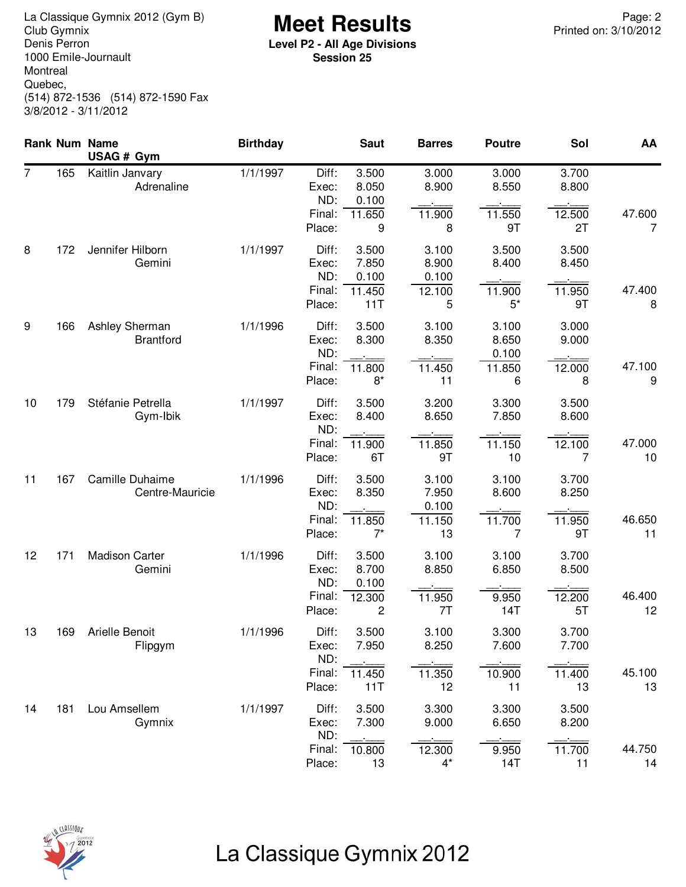**Meet Results** La Classique Gymnix 2012 (Gym B) Page: 2 Denis Perron 1000 Emile-Journault Montreal Quebec, (514) 872-1536 (514) 872-1590 Fax 3/8/2012 - 3/11/2012

**Level P2 - All Age Divisions Session 25**

|                |     | <b>Rank Num Name</b><br>USAG # Gym | <b>Birthday</b> |                                           | <b>Saut</b>                              | <b>Barres</b>                           | <b>Poutre</b>                          | Sol                            | AA           |
|----------------|-----|------------------------------------|-----------------|-------------------------------------------|------------------------------------------|-----------------------------------------|----------------------------------------|--------------------------------|--------------|
| $\overline{7}$ | 165 | Kaitlin Janvary<br>Adrenaline      | 1/1/1997        | Diff:<br>Exec:<br>ND:<br>Final:<br>Place: | 3.500<br>8.050<br>0.100<br>11.650<br>9   | 3.000<br>8.900<br>11.900<br>8           | 3.000<br>8.550<br>11.550<br>9T         | 3.700<br>8.800<br>12.500<br>2T | 47.600<br>7  |
| 8              | 172 | Jennifer Hilborn<br>Gemini         | 1/1/1997        | Diff:<br>Exec:<br>ND:<br>Final:<br>Place: | 3.500<br>7.850<br>0.100<br>11.450<br>11T | 3.100<br>8.900<br>0.100<br>12.100<br>5  | 3.500<br>8.400<br>11.900<br>$5^*$      | 3.500<br>8.450<br>11.950<br>9T | 47.400<br>8  |
| 9              | 166 | Ashley Sherman<br><b>Brantford</b> | 1/1/1996        | Diff:<br>Exec:<br>ND:<br>Final:<br>Place: | 3.500<br>8.300<br>11.800<br>$8*$         | 3.100<br>8.350<br>11.450<br>11          | 3.100<br>8.650<br>0.100<br>11.850<br>6 | 3.000<br>9.000<br>12.000<br>8  | 47.100<br>9  |
| 10             | 179 | Stéfanie Petrella<br>Gym-Ibik      | 1/1/1997        | Diff:<br>Exec:<br>ND:<br>Final:<br>Place: | 3.500<br>8.400<br>11.900<br>6T           | 3.200<br>8.650<br>11.850<br>9T          | 3.300<br>7.850<br>11.150<br>10         | 3.500<br>8.600<br>12.100<br>7  | 47.000<br>10 |
| 11             | 167 | Camille Duhaime<br>Centre-Mauricie | 1/1/1996        | Diff:<br>Exec:<br>ND:<br>Final:<br>Place: | 3.500<br>8.350<br>11.850<br>$7^*$        | 3.100<br>7.950<br>0.100<br>11.150<br>13 | 3.100<br>8.600<br>11.700<br>7          | 3.700<br>8.250<br>11.950<br>9T | 46.650<br>11 |
| 12             | 171 | <b>Madison Carter</b><br>Gemini    | 1/1/1996        | Diff:<br>Exec:<br>ND:<br>Final:<br>Place: | 3.500<br>8.700<br>0.100<br>12.300<br>2   | 3.100<br>8.850<br>11.950<br>7T          | 3.100<br>6.850<br>9.950<br>14T         | 3.700<br>8.500<br>12.200<br>5T | 46.400<br>12 |
| 13             | 169 | <b>Arielle Benoit</b><br>Flipgym   | 1/1/1996        | Diff:<br>Exec:<br>ND:<br>Final:<br>Place: | 3.500<br>7.950<br>11.450<br>11T          | 3.100<br>8.250<br>11.350<br>12          | 3.300<br>7.600<br>10.900<br>11         | 3.700<br>7.700<br>11.400<br>13 | 45.100<br>13 |
| 14             | 181 | Lou Amsellem<br>Gymnix             | 1/1/1997        | Diff:<br>Exec:<br>ND:<br>Final:<br>Place: | 3.500<br>7.300<br>10.800<br>13           | 3.300<br>9.000<br>12.300<br>$4^*$       | 3.300<br>6.650<br>9.950<br>14T         | 3.500<br>8.200<br>11.700<br>11 | 44.750<br>14 |



# La Classique Gymnix 2012